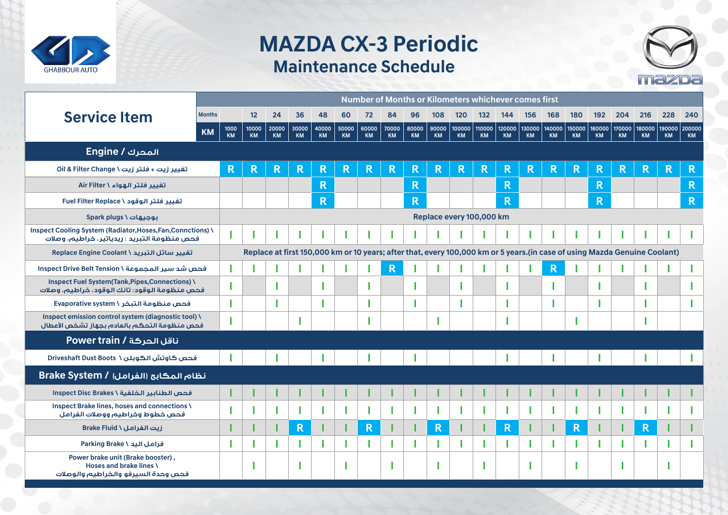

## **MAZDA CX-3 Periodic Maintenance Schedule**



|                                                                                                                     |               |                                                                                                                           |                    |                    |             |             |             |                    |             |                    |                    |                       |              |                     | Number of Months or Kilometers whichever comes first |              |              |                     |                         |                     |                     |                     |
|---------------------------------------------------------------------------------------------------------------------|---------------|---------------------------------------------------------------------------------------------------------------------------|--------------------|--------------------|-------------|-------------|-------------|--------------------|-------------|--------------------|--------------------|-----------------------|--------------|---------------------|------------------------------------------------------|--------------|--------------|---------------------|-------------------------|---------------------|---------------------|---------------------|
| <b>Service Item</b>                                                                                                 | <b>Months</b> |                                                                                                                           | 12                 | 24                 | 36          | 48          | 60          | 72                 | 84          | 96                 | 108                | 120                   | $132$        | 144                 | 156                                                  | 168          | 180          | 192                 | 204                     | 216                 | 228                 | 240                 |
|                                                                                                                     | <b>KM</b>     | 1000<br><b>KM</b>                                                                                                         | 10000<br><b>KM</b> | 20000<br><b>KM</b> | 30000<br>KM | 40000<br>KM | 50000<br>KM | 60000<br><b>KM</b> | 70000<br>KM | 80000<br><b>KM</b> | 90000<br><b>KM</b> | 100000  <br><b>KM</b> | 110000<br>KM | 120000<br><b>KM</b> | 130000<br>KM                                         | 140000<br>KM | 150000<br>KM | 160000<br><b>KM</b> | 170000<br><b>KM</b>     | 180000<br><b>KM</b> | 190000<br><b>KM</b> | 200000<br><b>KM</b> |
| <b>Engine / المحرك</b>                                                                                              |               |                                                                                                                           |                    |                    |             |             |             |                    |             |                    |                    |                       |              |                     |                                                      |              |              |                     |                         |                     |                     |                     |
| تفيير زيت + فلتر زيت \ Oil & Filter Change                                                                          |               | R                                                                                                                         | R                  | R                  | R.          | R.          | R           | R                  | R           | R                  | R                  | R                     | R            | R                   | R                                                    | R            | R            | R                   | $\overline{\textbf{R}}$ | R                   | R                   | R                   |
| تفيير فلتر الهواء \ Air Filter                                                                                      |               |                                                                                                                           |                    |                    |             | R.          |             |                    |             | $\mathsf{R}$       |                    |                       |              | R                   |                                                      |              |              | $\mathsf{R}$        |                         |                     |                     | $\mathsf{R}$        |
| تفيير فلتر الوقود \ Fuel Filter Replace                                                                             |               |                                                                                                                           |                    |                    |             | R.          |             |                    |             | R.                 |                    |                       |              | R                   |                                                      |              |              | R                   |                         |                     |                     | $\mathsf{R}$        |
| بوجيهات \ Spark plugs                                                                                               |               | Replace every 100,000 km                                                                                                  |                    |                    |             |             |             |                    |             |                    |                    |                       |              |                     |                                                      |              |              |                     |                         |                     |                     |                     |
| <b>Inspect Cooling System (Radiator, Hoses, Fan, Connctions) \</b><br>فحص منظومة التبريد : ريدياتير ، خراطيم، وصلات |               |                                                                                                                           |                    |                    |             |             |             |                    |             |                    |                    |                       |              |                     |                                                      |              |              |                     |                         |                     |                     |                     |
| تغيير سائل التبريد \ Replace Engine Coolant                                                                         |               | Replace at first 150,000 km or 10 years; after that, every 100,000 km or 5 years.(in case of using Mazda Genuine Coolant) |                    |                    |             |             |             |                    |             |                    |                    |                       |              |                     |                                                      |              |              |                     |                         |                     |                     |                     |
| فحص شد سير المجموعة \ Inspect Drive Belt Tension                                                                    |               |                                                                                                                           |                    |                    |             |             |             |                    | R           |                    |                    |                       |              |                     |                                                      | R            |              |                     |                         |                     |                     |                     |
| <b>Inspect Fuel System(Tank, Pipes, Connections) \</b><br>فحص منظومة الوقود: تانك الوقود، خراطيم، وصلات             |               |                                                                                                                           |                    |                    |             |             |             |                    |             |                    |                    |                       |              |                     |                                                      |              |              |                     |                         |                     |                     |                     |
| فحص منظومة التبخر \ Evaporative system                                                                              |               |                                                                                                                           |                    |                    |             |             |             |                    |             |                    |                    |                       |              |                     |                                                      |              |              |                     |                         |                     |                     |                     |
| Inspect emission control system (diagnostic tool) \<br>فحص منظومة التحكم بالعادم بجهاز تشخص الأعطال                 |               |                                                                                                                           |                    |                    |             |             |             |                    |             |                    |                    |                       |              |                     |                                                      |              |              |                     |                         |                     |                     |                     |
| ناقل الحركة / Power train                                                                                           |               |                                                                                                                           |                    |                    |             |             |             |                    |             |                    |                    |                       |              |                     |                                                      |              |              |                     |                         |                     |                     |                     |
| فحص كاوتش الكوبلن \ Driveshaft Dust Boots                                                                           |               |                                                                                                                           |                    |                    |             |             |             |                    |             |                    |                    |                       |              |                     |                                                      |              |              |                     |                         |                     |                     |                     |
| Erake System / (الفرامل) Brake System /                                                                             |               |                                                                                                                           |                    |                    |             |             |             |                    |             |                    |                    |                       |              |                     |                                                      |              |              |                     |                         |                     |                     |                     |
| فحص الطنابير الخلفية \ Inspect Disc Brakes                                                                          |               |                                                                                                                           |                    |                    |             |             |             |                    |             |                    |                    |                       |              |                     |                                                      |              |              |                     |                         |                     |                     |                     |
| Inspect Brake lines, hoses and connections \<br>فحص خطوط وخراطيم ووصلات الفرامل                                     |               |                                                                                                                           |                    |                    |             |             |             |                    |             |                    |                    |                       |              |                     |                                                      |              |              |                     |                         |                     |                     |                     |
| Erake Fluid \ زيت الفرامل \                                                                                         |               |                                                                                                                           |                    |                    | R           |             |             | R                  |             |                    | R                  |                       |              | R                   |                                                      |              | R            |                     |                         | R                   |                     |                     |
| فرامل اليد \ Parking Brake                                                                                          |               |                                                                                                                           |                    |                    |             |             |             |                    |             |                    |                    |                       |              |                     |                                                      |              |              |                     |                         |                     |                     |                     |
| Power brake unit (Brake booster),<br>Hoses and brake lines \<br>فحص وحدة السيرفو والخراطيم والوصلات                 |               |                                                                                                                           |                    |                    |             |             |             |                    |             |                    |                    |                       |              |                     |                                                      |              |              |                     |                         |                     |                     |                     |